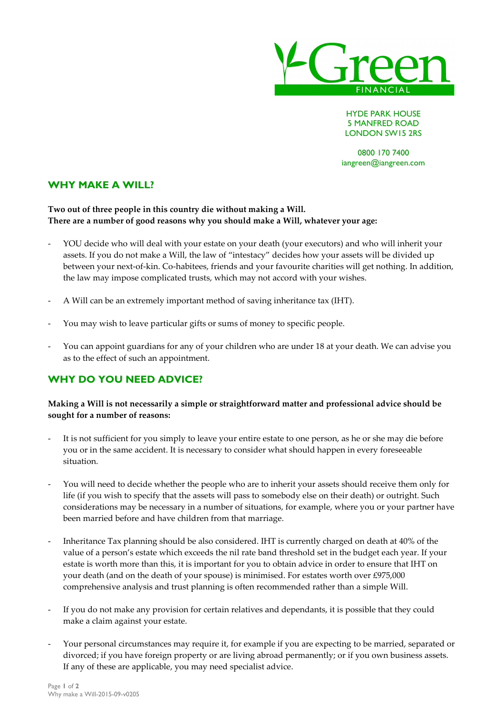

HYDE PARK HOUSE 5 MANFRED ROAD LONDON SW15 2RS

0800 170 7400 iangreen@iangreen.com

### **WHY MAKE A WILL?**

#### **Two out of three people in this country die without making a Will. There are a number of good reasons why you should make a Will, whatever your age:**

- YOU decide who will deal with your estate on your death (your executors) and who will inherit your assets. If you do not make a Will, the law of "intestacy" decides how your assets will be divided up between your next-of-kin. Co-habitees, friends and your favourite charities will get nothing. In addition, the law may impose complicated trusts, which may not accord with your wishes.
- A Will can be an extremely important method of saving inheritance tax (IHT).
- You may wish to leave particular gifts or sums of money to specific people.
- You can appoint guardians for any of your children who are under 18 at your death. We can advise you as to the effect of such an appointment.

# **WHY DO YOU NEED ADVICE?**

#### **Making a Will is not necessarily a simple or straightforward matter and professional advice should be sought for a number of reasons:**

- It is not sufficient for you simply to leave your entire estate to one person, as he or she may die before you or in the same accident. It is necessary to consider what should happen in every foreseeable situation.
- You will need to decide whether the people who are to inherit your assets should receive them only for life (if you wish to specify that the assets will pass to somebody else on their death) or outright. Such considerations may be necessary in a number of situations, for example, where you or your partner have been married before and have children from that marriage.
- Inheritance Tax planning should be also considered. IHT is currently charged on death at 40% of the value of a person's estate which exceeds the nil rate band threshold set in the budget each year. If your estate is worth more than this, it is important for you to obtain advice in order to ensure that IHT on your death (and on the death of your spouse) is minimised. For estates worth over £975,000 comprehensive analysis and trust planning is often recommended rather than a simple Will.
- If you do not make any provision for certain relatives and dependants, it is possible that they could make a claim against your estate.
- Your personal circumstances may require it, for example if you are expecting to be married, separated or divorced; if you have foreign property or are living abroad permanently; or if you own business assets. If any of these are applicable, you may need specialist advice.